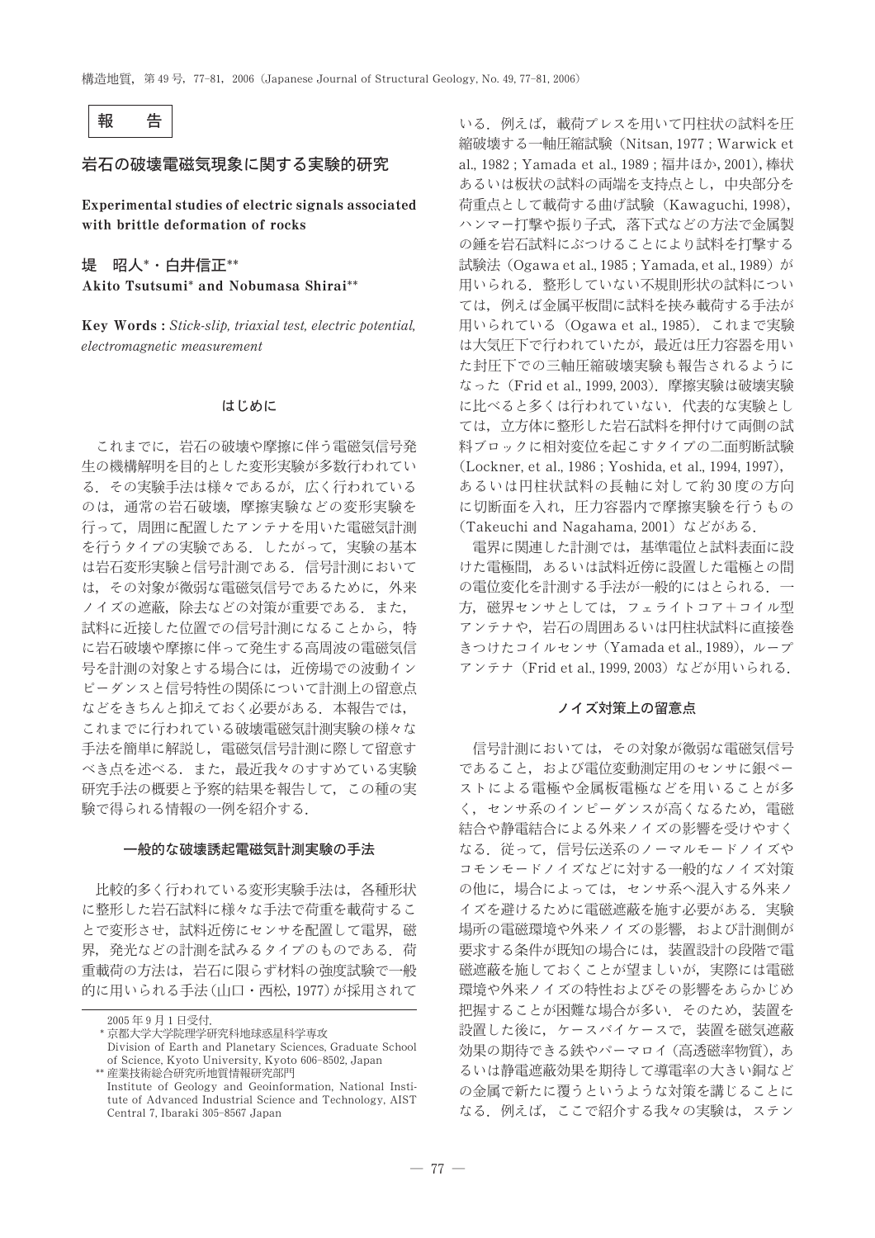

# 岩石の破壊電磁気現象に関する実験的研究

Experimental studies of electric signals associated with brittle deformation of rocks

堤 昭人\*·白井信正\*\* Akito Tsutsumi\* and Nobumasa Shirai\*\*

Key Words: Stick-slip, triaxial test, electric potential, electromagnetic measurement

## はじめに

これまでに、岩石の破壊や摩擦に伴う電磁気信号発 生の機構解明を目的とした変形実験が多数行われてい る。その実験手法は様々であるが、広く行われている のは、通常の岩石破壊、摩擦実験などの変形実験を 行って、周囲に配置したアンテナを用いた電磁気計測 を行うタイプの実験である。したがって、実験の基本 は岩石変形実験と信号計測である。信号計測において は、その対象が微弱な電磁気信号であるために、外来 ノイズの遮蔽,除去などの対策が重要である。また, 試料に近接した位置での信号計測になることから、特 に岩石破壊や摩擦に伴って発生する高周波の電磁気信 号を計測の対象とする場合には、近傍場での波動イン ピーダンスと信号特性の関係について計測上の留意点 などをきちんと抑えておく必要がある。本報告では, これまでに行われている破壊電磁気計測実験の様々な 手法を簡単に解説し、電磁気信号計測に際して留意す べき点を述べる。また、最近我々のすすめている実験 研究手法の概要と予察的結果を報告して、この種の実 験で得られる情報の一例を紹介する.

### 一般的な破壊誘起電磁気計測実験の手法

比較的多く行われている変形実験手法は,各種形状 に整形した岩石試料に様々な手法で荷重を載荷するこ とで変形させ、試料近傍にセンサを配置して電界、磁 界、発光などの計測を試みるタイプのものである。荷 重載荷の方法は、岩石に限らず材料の強度試験で一般 的に用いられる手法(山口・西松, 1977)が採用されて

\* 京都大学大学院理学研究科地球惑星科学専攻

いる。例えば、載荷プレスを用いて円柱状の試料を圧 縮破壊する一軸圧縮試験 (Nitsan, 1977 : Warwick et al., 1982; Yamada et al., 1989; 福井ほか, 2001), 棒状 あるいは板状の試料の両端を支持点とし、中央部分を 荷重点として載荷する曲げ試験 (Kawaguchi, 1998), ハンマー打撃や振り子式、落下式などの方法で金属製 の錘を岩石試料にぶつけることにより試料を打撃する 試験法 (Ogawa et al., 1985; Yamada, et al., 1989) が 用いられる。整形していない不規則形状の試料につい ては、例えば金属平板間に試料を挟み載荷する手法が 用いられている (Ogawa et al., 1985). これまで実験 は大気圧下で行われていたが、最近は圧力容器を用い た封圧下での三軸圧縮破壊実験も報告されるように なった (Frid et al., 1999, 2003). 摩擦実験は破壊実験 に比べると多くは行われていない。代表的な実験とし ては、立方体に整形した岩石試料を押付けて両側の試 料ブロックに相対変位を起こすタイプの二面剪断試験 (Lockner, et al., 1986; Yoshida, et al., 1994, 1997), あるいは円柱状試料の長軸に対して約30度の方向 に切断面を入れ、圧力容器内で摩擦実験を行うもの (Takeuchi and Nagahama, 2001) などがある.

電界に関連した計測では、基準電位と試料表面に設 けた電極間、あるいは試料近傍に設置した電極との間 の電位変化を計測する手法が一般的にはとられる. 一 方、磁界センサとしては、フェライトコア+コイル型 アンテナや、岩石の周囲あるいは円柱状試料に直接巻 きつけたコイルセンサ (Yamada et al., 1989), ループ アンテナ (Frid et al., 1999, 2003) などが用いられる.

## ノイズ対策上の留意点

信号計測においては、その対象が微弱な電磁気信号 であること、および電位変動測定用のセンサに銀ペー ストによる電極や金属板電極などを用いることが多 く、センサ系のインピーダンスが高くなるため、電磁 結合や静電結合による外来ノイズの影響を受けやすく なる。従って、信号伝送系のノーマルモードノイズや コモンモードノイズなどに対する一般的なノイズ対策 の他に、場合によっては、センサ系へ混入する外来ノ イズを避けるために電磁遮蔽を施す必要がある。実験 場所の電磁環境や外来ノイズの影響、および計測側が 要求する条件が既知の場合には、装置設計の段階で電 磁遮蔽を施しておくことが望ましいが、実際には電磁 環境や外来ノイズの特性およびその影響をあらかじめ 把握することが困難な場合が多い、そのため、装置を 設置した後に、ケースバイケースで、装置を磁気遮蔽 効果の期待できる鉄やパーマロイ (高透磁率物質), あ るいは静電遮蔽効果を期待して導電率の大きい銅など の金属で新たに覆うというような対策を講じることに なる。例えば、ここで紹介する我々の実験は、ステン

<sup>2005</sup>年9月1日受付

Division of Earth and Planetary Sciences, Graduate School of Science, Kyoto University, Kyoto 606-8502, Japan

<sup>\*\*</sup> 産業技術総合研究所地質情報研究部門 Institute of Geology and Geoinformation, National Institute of Advanced Industrial Science and Technology, AIST Central 7, Ibaraki 305-8567 Japan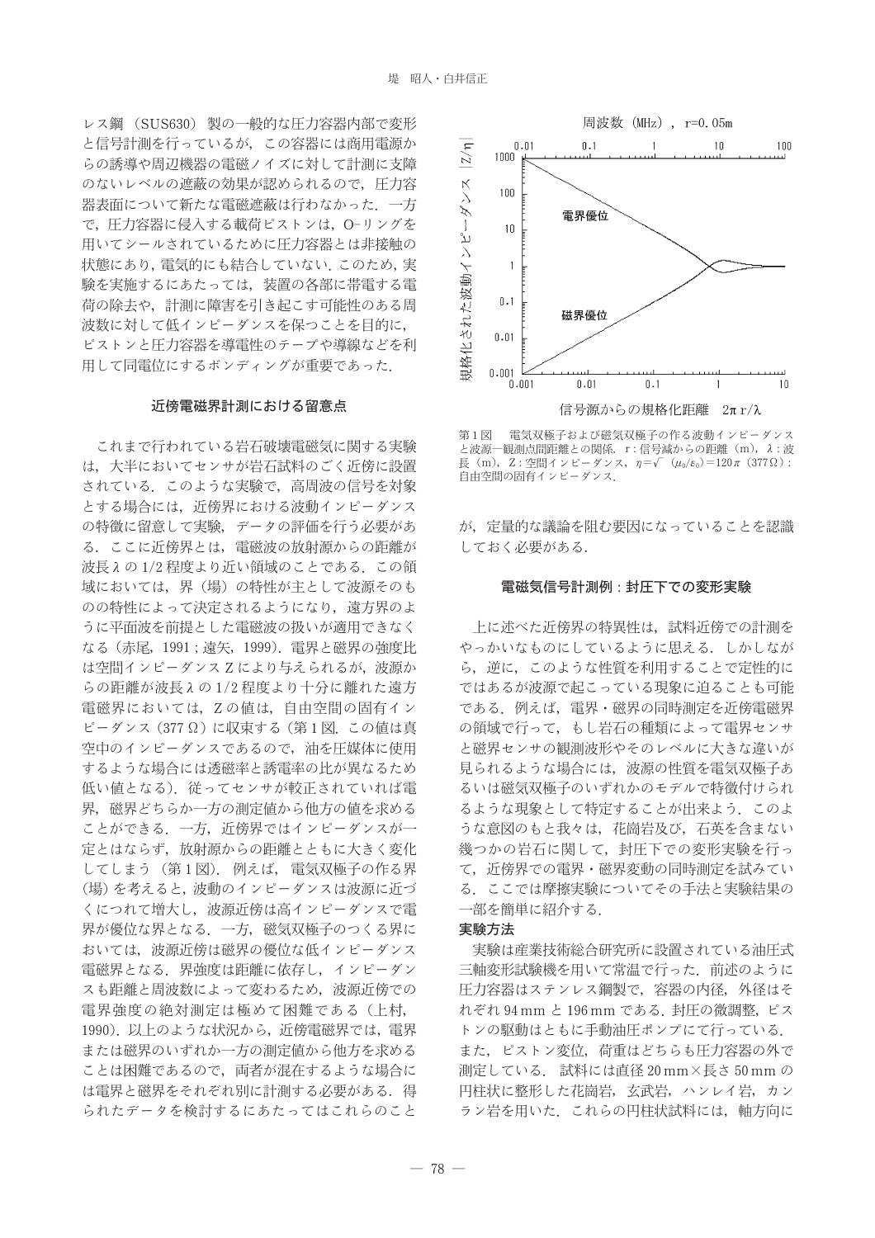レス鋼 (SUS630) 製の一般的な圧力容器内部で変形 と信号計測を行っているが、この容器には商用電源か らの誘導や周辺機器の電磁ノイズに対して計測に支障 のないレベルの遮蔽の効果が認められるので、圧力容 器表面について新たな電磁遮蔽は行わなかった. 一方 で、圧力容器に侵入する載荷ピストンは、O-リングを 用いてシールされているために圧力容器とは非接触の 状態にあり、電気的にも結合していない。このため、実 験を実施するにあたっては、装置の各部に帯雷する雷 荷の除去や、計測に障害を引き起こす可能性のある周 波数に対して低インピーダンスを保つことを目的に, ピストンと圧力容器を導電性のテープや導線などを利 用して同電位にするボンディングが重要であった.

## 近傍電磁界計測における留意点

これまで行われている岩石破壊電磁気に関する実験 は、大半においてセンサが岩石試料のごく近傍に設置 されている。このような実験で、高周波の信号を対象 とする場合には、近傍界における波動インピーダンス の特徴に留意して実験、データの評価を行う必要があ る. ここに近傍界とは、電磁波の放射源からの距離が 波長 えの1/2程度より近い領域のことである。この領 域においては、界(場)の特性が主として波源そのも のの特性によって決定されるようになり、遠方界のよ うに平面波を前提とした電磁波の扱いが適用できなく なる (赤尾, 1991; 遠矢, 1999). 電界と磁界の強度比 は空間インピーダンスZにより与えられるが、波源か らの距離が波長λの1/2程度より十分に離れた遠方 電磁界においては、Zの値は、自由空間の固有イン ピーダンス (377Ω)に収束する (第1図. この値は真 空中のインピーダンスであるので、油を圧媒体に使用 するような場合には透磁率と誘電率の比が異なるため 低い値となる). 従ってセンサが較正されていれば電 界、磁界どちらか一方の測定値から他方の値を求める ことができる。一方、近傍界ではインピーダンスが一 定とはならず、放射源からの距離とともに大きく変化 してしまう (第1図). 例えば、電気双極子の作る界 (場)を考えると、波動のインピーダンスは波源に近づ くにつれて増大し、波源近傍は高インピーダンスで電 界が優位な界となる、一方、磁気双極子のつくる界に おいては、波源近傍は磁果の優位な低インピーダンス 電磁界となる。界強度は距離に依存し、インピーダン スも距離と周波数によって変わるため、波源近傍での 電界強度の絶対測定は極めて困難である (上村, 1990). 以上のような状況から、近傍電磁界では、電界 または磁界のいずれか一方の測定値から他方を求める ことは困難であるので、両者が混在するような場合に は電界と磁界をそれぞれ別に計測する必要がある。得 られたデータを検討するにあたってはこれらのこと



第1図 雷気双極子および磁気双極子の作る波動インピーダンス と波源一観測点間距離との関係. r:信号減からの距離 (m), λ:波 長 (m), Z: 空間インピーダンス,  $\eta = \sqrt{\mu_0/\varepsilon_0} = 120\pi (377 \Omega)$ : 自由空間の固有インピーダンス.

が、定量的な議論を阻む要因になっていることを認識 しておく必要がある.

# 電磁気信号計測例:封圧下での変形実験

上に述べた近傍界の特異性は、試料近傍での計測を やっかいなものにしているように思える。しかしなが ら、逆に、このような性質を利用することで定性的に ではあるが波源で起こっている現象に迫ることも可能 である。例えば、電界・磁界の同時測定を近傍電磁界 の領域で行って、もし岩石の種類によって電界センサ と磁界センサの観測波形やそのレベルに大きな違いが 見られるような場合には、波源の性質を電気双極子あ るいは磁気双極子のいずれかのモデルで特徴付けられ るような現象として特定することが出来よう。このよ うな意図のもと我々は、花崗岩及び、石英を含まない 幾つかの岩石に関して、封圧下での変形実験を行っ て、近傍界での電界·磁界変動の同時測定を試みてい る. ここでは摩擦実験についてその手法と実験結果の 一部を簡単に紹介する.

## 実験方法

実験は産業技術総合研究所に設置されている油圧式 三軸変形試験機を用いて常温で行った。前述のように 圧力容器はステンレス鋼製で、容器の内径、外径はそ れぞれ 94 mm と 196 mm である. 封圧の微調整, ピス トンの駆動はともに手動油圧ポンプにて行っている. また、ピストン変位、荷重はどちらも圧力容器の外で 測定している. 試料には直径 20 mm×長さ 50 mm の 円柱状に整形した花崗岩、玄武岩、ハンレイ岩、カン ラン岩を用いた. これらの円柱状試料には、軸方向に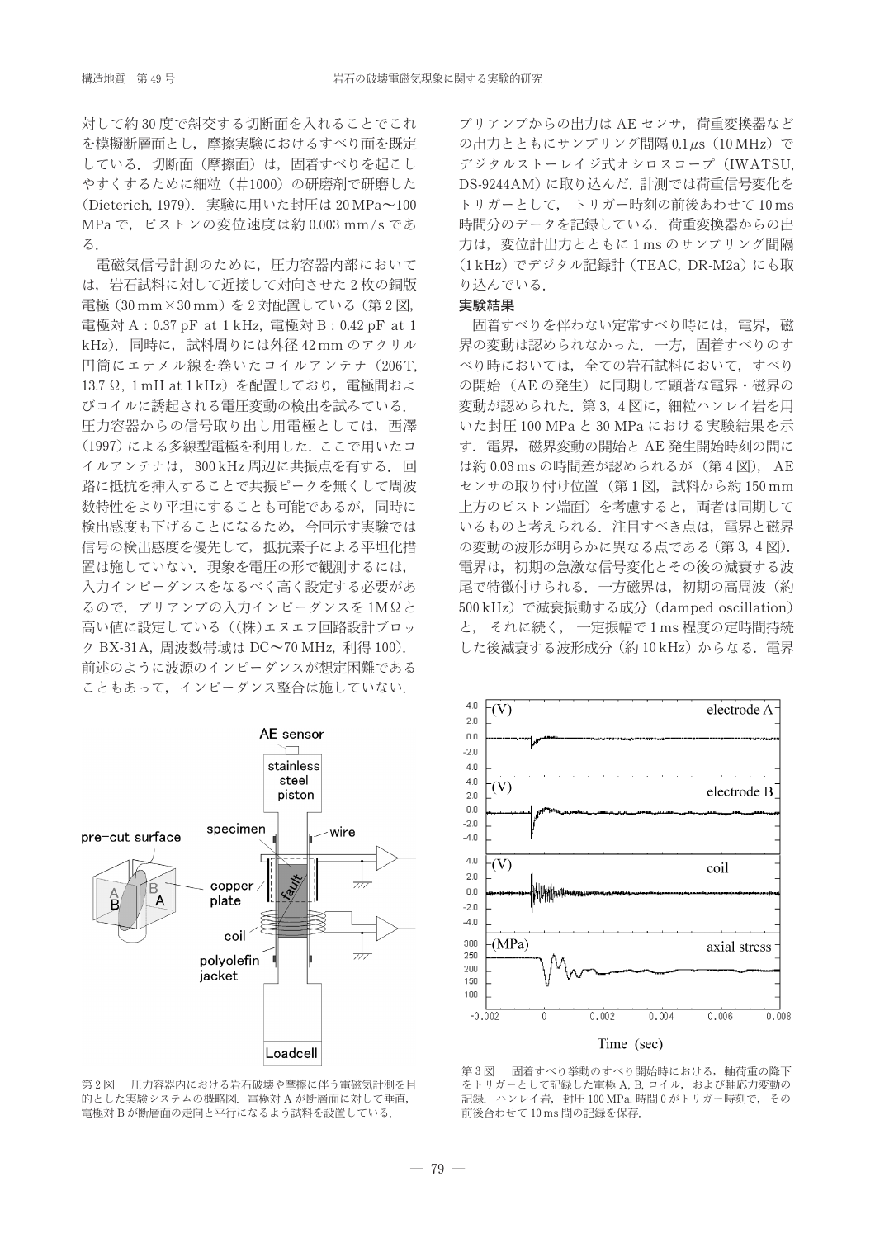対して約30度で斜交する切断面を入れることでこれ を模擬断層面とし、摩擦実験におけるすべり面を既定 している. 切断面(摩擦面)は、固着すべりを起こし やすくするために細粒(#1000)の研磨剤で研磨した (Dieterich, 1979). 実験に用いた封圧は 20 MPa~100 MPa で、ピストンの変位速度は約 0.003 mm/s であ  $\mathcal{Z}$ .

電磁気信号計測のために、圧力容器内部において は、岩石試料に対して近接して対向させた2枚の銅版 電極 (30 mm×30 mm)を2対配置している (第2図, 電極対 A : 0.37 pF at 1 kHz, 電極対 B : 0.42 pF at 1 kHz). 同時に、試料周りには外径42mmのアクリル 円筒にエナメル線を巻いたコイルアンテナ (206T, 13.7 Ω, 1 mH at 1 kHz) を配置しており、電極間およ びコイルに誘起される電圧変動の検出を試みている. 圧力容器からの信号取り出し用電極としては、西澤 (1997)による多線型電極を利用した。ここで用いたコ イルアンテナは、300 kHz 周辺に共振点を有する. 回 路に抵抗を挿入することで共振ピークを無くして周波 数特性をより平坦にすることも可能であるが、同時に 検出感度も下げることになるため、今回示す実験では 信号の検出感度を優先して、抵抗素子による平坦化措 置は施していない. 現象を電圧の形で観測するには, 入力インピーダンスをなるべく高く設定する必要があ るので、プリアンプの入力インピーダンスを1MΩと 高い値に設定している ((株)エヌエフ回路設計ブロッ ク BX-31A, 周波数帯域は DC~70 MHz, 利得 100). 前述のように波源のインピーダンスが想定困難である こともあって、インピーダンス整合は施していない.

プリアンプからの出力は AE センサ. 荷重変換器など の出力とともにサンプリング間隔 0.1 us (10 MHz) で デジタルストーレイジ式オシロスコープ(IWATSU, DS-9244AM)に取り込んだ. 計測では荷重信号変化を トリガーとして、 トリガー時刻の前後あわせて10ms 時間分のデータを記録している。荷重変換器からの出 力は、変位計出力とともに1msのサンプリング間隔 (1kHz) でデジタル記録計 (TEAC, DR-M2a) にも取 り込んでいる.

# 実験結果

固着すべりを伴わない定常すべり時には、電界, 磁 界の変動は認められなかった. 一方, 固着すべりのす べり時においては、全ての岩石試料において、すべり の開始 (AE の発生) に同期して顕著な電界·磁界の 変動が認められた. 第3,4図に、細粒ハンレイ岩を用 いた封圧 100 MPa と 30 MPa における実験結果を示 す. 電界、磁界変動の開始と AE 発生開始時刻の間に は約0.03msの時間差が認められるが (第4図), AE センサの取り付け位置 (第1図, 試料から約150mm 上方のピストン端面)を考慮すると、両者は同期して いるものと考えられる. 注目すべき点は、電界と磁界 の変動の波形が明らかに異なる点である (第3,4図). 電界は、初期の急激な信号変化とその後の減衰する波 尾で特徴付けられる. 一方磁界は, 初期の高周波 (約 500 kHz) で減衰振動する成分 (damped oscillation) と、 それに続く、 一定振幅で1ms程度の定時間持続 した後減衰する波形成分 (約10kHz) からなる. 電界



第2図 圧力容器内における岩石破壊や摩擦に伴う電磁気計測を目 的とした実験システムの概略図. 電極対Aが断層面に対して垂直, 電極対Bが断層面の走向と平行になるよう試料を設置している.



固着すべり挙動のすべり開始時における、軸荷重の降下 第3図 をトリガーとして記録した電極 A, B, コイル, および軸応力変動の 記録. ハンレイ岩, 封圧 100 MPa. 時間 0 がトリガー時刻で, その 前後合わせて10ms間の記録を保存.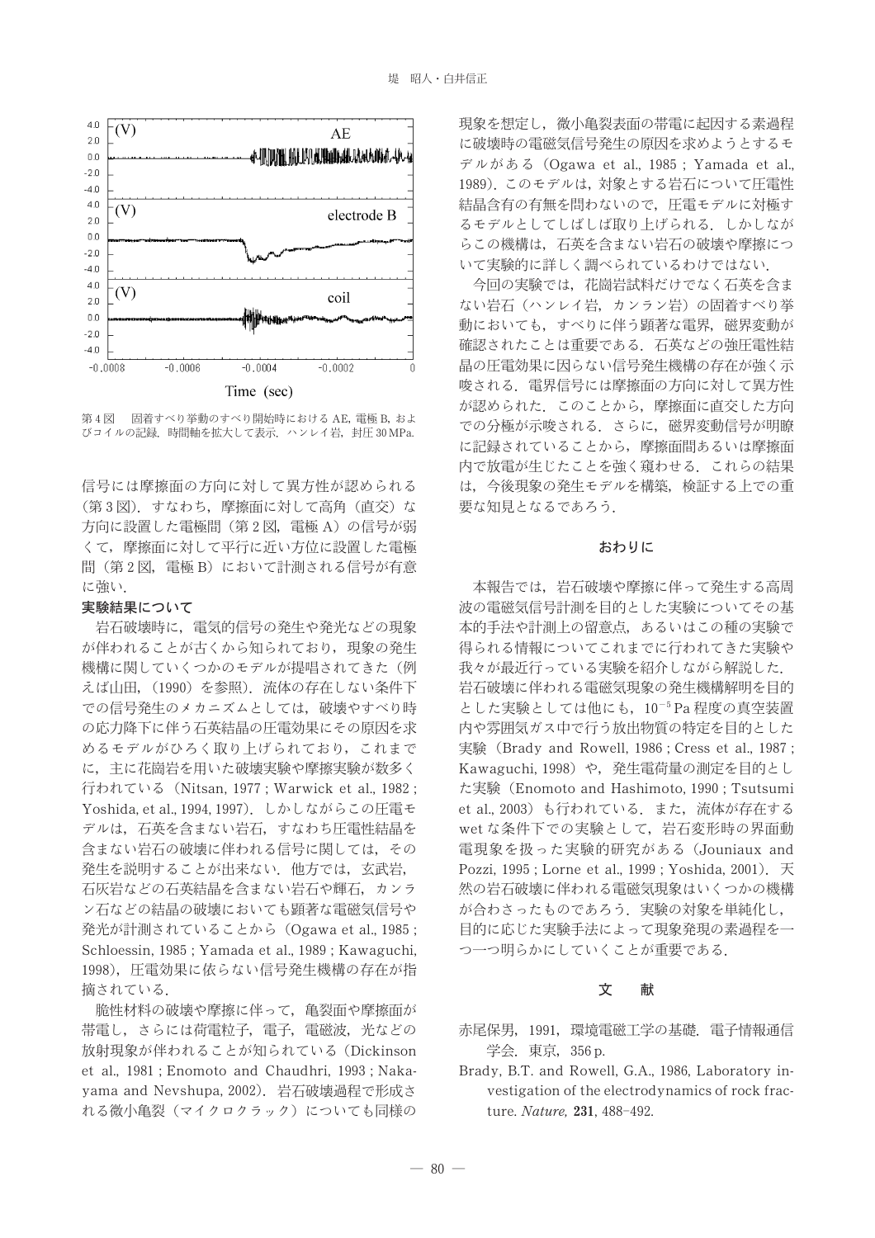

固着すべり挙動のすべり開始時における AE, 電極 B, およ 第4図 びコイルの記録. 時間軸を拡大して表示. ハンレイ岩, 封圧 30 MPa.

信号には摩擦面の方向に対して異方性が認められる (第3図). すなわち、摩擦面に対して高角(直交)な 方向に設置した電極間 (第2図, 電極 A) の信号が弱 くて、摩擦面に対して平行に近い方位に設置した電極 間(第2図, 電極B)において計測される信号が有意 に強い

## 実験結果について

岩石破壊時に、電気的信号の発生や発光などの現象 が伴われることが古くから知られており、現象の発生 機構に関していくつかのモデルが提唱されてきた(例 えば山田, (1990) を参照). 流体の存在しない条件下 での信号発生のメカニズムとしては、破壊やすべり時 の応力降下に伴う石英結晶の圧電効果にその原因を求 めるモデルがひろく取り上げられており、これまで に、主に花崗岩を用いた破壊実験や摩擦実験が数多く 行われている (Nitsan, 1977; Warwick et al., 1982; Yoshida. et al., 1994, 1997). しかしながらこの圧電モ デルは、石英を含まない岩石、すなわち圧電性結晶を 含まない岩石の破壊に伴われる信号に関しては、その 発生を説明することが出来ない. 他方では、玄武岩, 石灰岩などの石英結晶を含まない岩石や輝石,カンラ ン石などの結晶の破壊においても顕著な電磁気信号や 発光が計測されていることから (Ogawa et al., 1985; Schloessin, 1985; Yamada et al., 1989; Kawaguchi, 1998),圧電効果に依らない信号発生機構の存在が指 摘されている.

脆性材料の破壊や摩擦に伴って、亀裂面や摩擦面が 帯電し、さらには荷電粒子、電子、電磁波、光などの 放射現象が伴われることが知られている (Dickinson et al., 1981; Enomoto and Chaudhri, 1993; Nakayama and Nevshupa, 2002). 岩石破壊過程で形成さ れる微小亀裂(マイクロクラック)についても同様の 現象を想定し、微小亀裂表面の帯電に起因する素過程 に破壊時の電磁気信号発生の原因を求めようとするモ デルがある (Ogawa et al., 1985; Yamada et al., 1989). このモデルは、対象とする岩石について圧電性 結晶含有の有無を問わないので、圧電モデルに対極す るモデルとしてしばしば取り上げられる。しかしなが らこの機構は、石英を含まない岩石の破壊や摩擦につ いて実験的に詳しく調べられているわけではない.

今回の実験では、花崗岩試料だけでなく石英を含ま ない岩石(ハンレイ岩、カンラン岩)の固着すべり挙 動においても、すべりに伴う顕著な電界、磁界変動が 確認されたことは重要である。石英などの強圧電性結 晶の圧電効果に因らない信号発生機構の存在が強く示 唆される。電界信号には摩擦面の方向に対して異方性 が認められた。このことから、摩擦面に直交した方向 での分極が示唆される。さらに、磁界変動信号が明瞭 に記録されていることから、摩擦面間あるいは摩擦面 内で放雷が牛じたことを強く窺わせる。これらの結果 は、今後現象の発生モデルを構築、検証する上での重 要な知見となるであろう.

#### おわりに

本報告では、岩石破壊や摩擦に伴って発生する高周 波の電磁気信号計測を目的とした実験についてその基 本的手法や計測上の留意点、あるいはこの種の実験で 得られる情報についてこれまでに行われてきた実験や 我々が最近行っている実験を紹介しながら解説した. 岩石破壊に伴われる電磁気現象の発生機構解明を目的 とした実験としては他にも、10<sup>-5</sup> Pa程度の真空装置 内や雰囲気ガス中で行う放出物質の特定を目的とした 実験 (Brady and Rowell, 1986; Cress et al., 1987; Kawaguchi, 1998) や、発生電荷量の測定を目的とし た実験 (Enomoto and Hashimoto, 1990; Tsutsumi et al., 2003) も行われている. また、流体が存在する wet な条件下での実験として、岩石変形時の界面動 電現象を扱った実験的研究がある (Jouniaux and Pozzi, 1995; Lorne et al., 1999; Yoshida, 2001). 天 然の岩石破壊に伴われる電磁気現象はいくつかの機構 が合わさったものであろう. 実験の対象を単純化し, 目的に応じた実験手法によって現象発現の素過程を一 つ一つ明らかにしていくことが重要である.

#### 文 献

- 赤尾保男, 1991, 環境電磁工学の基礎. 電子情報通信 学会. 東京, 356 p.
- Brady, B.T. and Rowell, G.A., 1986, Laboratory investigation of the electrodynamics of rock fracture. Nature. 231, 488-492.